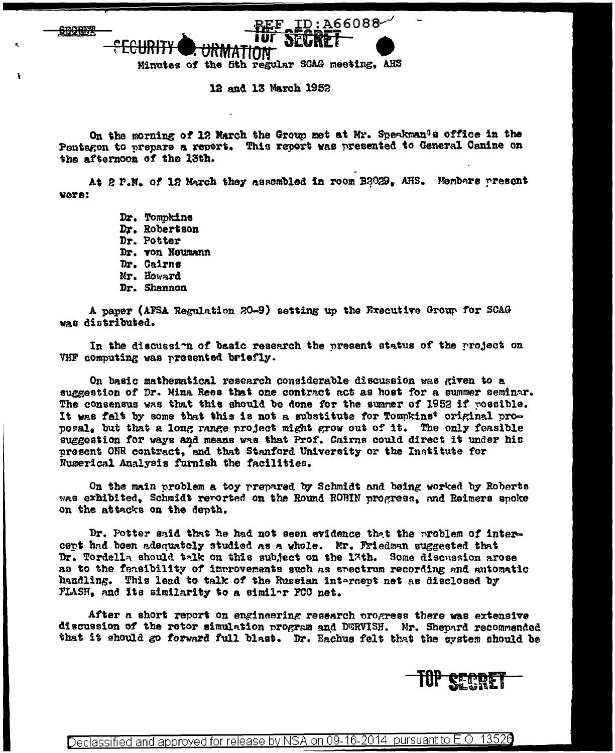**SBOREP** 

Minutes of the 5th regular SCAG meeting. AHS

12 and 13 March 1952

On the morning of 12 March the Group met at Mr. Speakman's office in the Pentagon to prepare a report. This report was presented to General Canine on the afternoon of the 13th.

 $EF$  ID:A66088- $'$ 

At 2 P.M. of 12 March they assembled in room B2029. AHS. Members present **WATA!** 

> Dr. Tompkins Dr. Robertson Dr. Potter Dr. von Neumann Dr. Cairns Mr. Howard Dr. Shannon

A paper (AFSA Regulation 20-9) setting up the Executive Group for SCAG was distributed.

In the discussion of basic research the present status of the project on VHF computing was presented briefly.

On basic mathematical research considerable discussion was given to a suggestion of Dr. Mina Rees that one contract act as host for a summer seminar. The consensus was that this should be done for the summer of 1952 if rossible. It was falt by some that this is not a substitute for Tommkins' original proposal. but that a long range project might grow out of it. The only feasible suggestion for ways and means was that Prof. Cairns could direct it under his present ONR contract, and that Stanford University or the Institute for Numerical Analysis furnish the facilities.

On the main problem a toy prepared by Schmidt and being worked by Roberts was exhibited, Schmidt reported on the Round ROBIN progress, and Reimers spoke on the attacks on the depth.

Dr. Potter said that he had not seen evidence that the problem of intercent had been adequately studied as a whole. Mr. Friedman suggested that Dr. Tordella should talk on this subject on the 13th. Some discussion arose as to the fensibility of improvements such as spectrum recording and automatic handling. This lead to talk of the Russian intercept net as disclosed by FLASH, and its similarity to a similar FCC net.

After a short report on engineering research progress there was extensive discussion of the rotor simulation program and DERVISH. Mr. Shepard recommended that it should go forward full blast. Dr. Eachus felt that the system should be